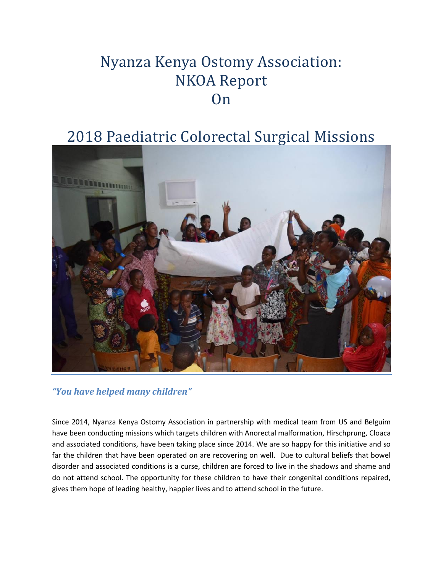# Nyanza Kenya Ostomy Association: NKOA Report **On**

## 2018 Paediatric Colorectal Surgical Missions



*"You have helped many children"*

Since 2014, Nyanza Kenya Ostomy Association in partnership with medical team from US and Belguim have been conducting missions which targets children with Anorectal malformation, Hirschprung, Cloaca and associated conditions, have been taking place since 2014. We are so happy for this initiative and so far the children that have been operated on are recovering on well. Due to cultural beliefs that bowel disorder and associated conditions is a curse, children are forced to live in the shadows and shame and do not attend school. The opportunity for these children to have their congenital conditions repaired, gives them hope of leading healthy, happier lives and to attend school in the future.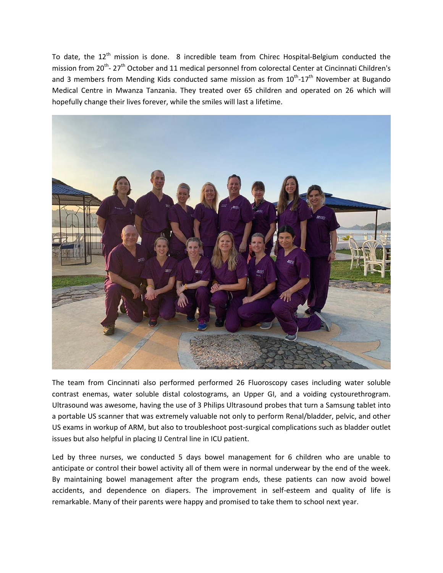To date, the  $12<sup>th</sup>$  mission is done. 8 incredible team from Chirec Hospital-Belgium conducted the mission from 20<sup>th</sup>-27<sup>th</sup> October and 11 medical personnel from colorectal Center at Cincinnati Children's and 3 members from Mending Kids conducted same mission as from 10<sup>th</sup>-17<sup>th</sup> November at Bugando Medical Centre in Mwanza Tanzania. They treated over 65 children and operated on 26 which will hopefully change their lives forever, while the smiles will last a lifetime.



The team from Cincinnati also performed performed 26 Fluoroscopy cases including water soluble contrast enemas, water soluble distal colostograms, an Upper GI, and a voiding cystourethrogram. Ultrasound was awesome, having the use of 3 Philips Ultrasound probes that turn a Samsung tablet into a portable US scanner that was extremely valuable not only to perform Renal/bladder, pelvic, and other US exams in workup of ARM, but also to troubleshoot post-surgical complications such as bladder outlet issues but also helpful in placing IJ Central line in ICU patient.

Led by three nurses, we conducted 5 days bowel management for 6 children who are unable to anticipate or control their bowel activity all of them were in normal underwear by the end of the week. By maintaining bowel management after the program ends, these patients can now avoid bowel accidents, and dependence on diapers. The improvement in self-esteem and quality of life is remarkable. Many of their parents were happy and promised to take them to school next year.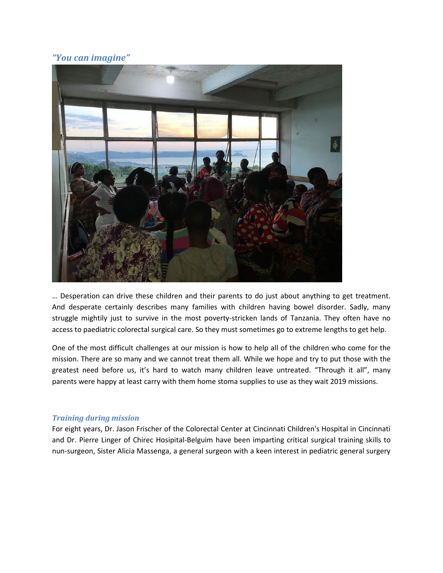## *"You can imagine"*



… Desperation can drive these children and their parents to do just about anything to get treatment. And desperate certainly describes many families with children having bowel disorder. Sadly, many struggle mightily just to survive in the most poverty-stricken lands of Tanzania. They often have no access to paediatric colorectal surgical care. So they must sometimes go to extreme lengths to get help.

One of the most difficult challenges at our mission is how to help all of the children who come for the mission. There are so many and we cannot treat them all. While we hope and try to put those with the greatest need before us, it's hard to watch many children leave untreated. "Through it all", many parents were happy at least carry with them home stoma supplies to use as they wait 2019 missions.

#### *Training during mission*

For eight years, Dr. Jason Frischer of the Colorectal Center at Cincinnati Children's Hospital in Cincinnati and Dr. Pierre Linger of Chirec Hosipital-Belguim have been imparting critical surgical training skills to nun-surgeon, Sister Alicia Massenga, a general surgeon with a keen interest in pediatric general surgery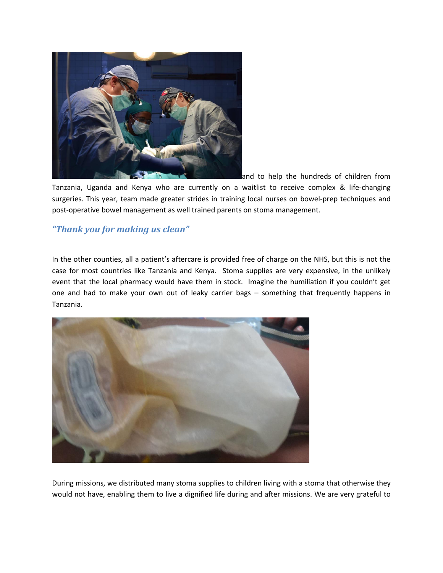

and to help the hundreds of children from Tanzania, Uganda and Kenya who are currently on a waitlist to receive complex & life-changing surgeries. This year, team made greater strides in training local nurses on bowel-prep techniques and post-operative bowel management as well trained parents on stoma management.

## *"Thank you for making us clean"*

In the other counties, all a patient's aftercare is provided free of charge on the NHS, but this is not the case for most countries like Tanzania and Kenya. Stoma supplies are very expensive, in the unlikely event that the local pharmacy would have them in stock. Imagine the humiliation if you couldn't get one and had to make your own out of leaky carrier bags – something that frequently happens in Tanzania.



During missions, we distributed many stoma supplies to children living with a stoma that otherwise they would not have, enabling them to live a dignified life during and after missions. We are very grateful to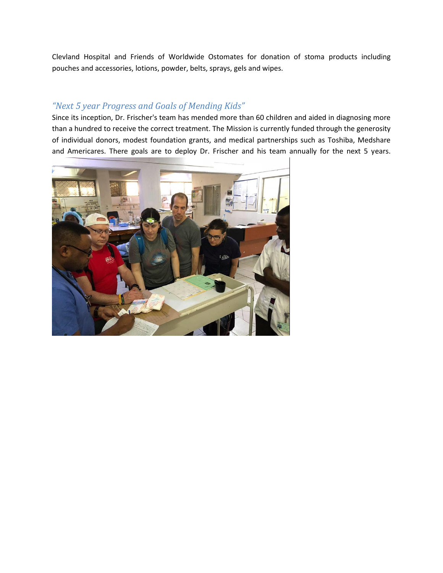Clevland Hospital and Friends of Worldwide Ostomates for donation of stoma products including pouches and accessories, lotions, powder, belts, sprays, gels and wipes.

## *"Next 5 year Progress and Goals of Mending Kids"*

Since its inception, Dr. Frischer's team has mended more than 60 children and aided in diagnosing more than a hundred to receive the correct treatment. The Mission is currently funded through the generosity of individual donors, modest foundation grants, and medical partnerships such as Toshiba, Medshare and Americares. There goals are to deploy Dr. Frischer and his team annually for the next 5 years.